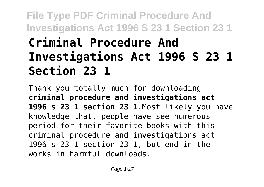# **File Type PDF Criminal Procedure And Investigations Act 1996 S 23 1 Section 23 1 Criminal Procedure And Investigations Act 1996 S 23 1 Section 23 1**

Thank you totally much for downloading **criminal procedure and investigations act 1996 s 23 1 section 23 1**.Most likely you have knowledge that, people have see numerous period for their favorite books with this criminal procedure and investigations act 1996 s 23 1 section 23 1, but end in the works in harmful downloads.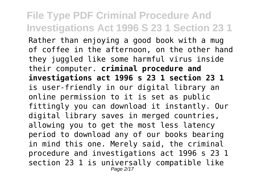Rather than enjoying a good book with a mug of coffee in the afternoon, on the other hand they juggled like some harmful virus inside their computer. **criminal procedure and investigations act 1996 s 23 1 section 23 1** is user-friendly in our digital library an online permission to it is set as public fittingly you can download it instantly. Our digital library saves in merged countries, allowing you to get the most less latency period to download any of our books bearing in mind this one. Merely said, the criminal procedure and investigations act 1996 s 23 1 section 23 1 is universally compatible like Page 2/17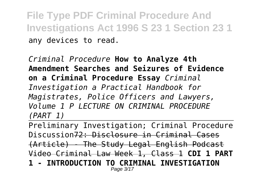**File Type PDF Criminal Procedure And Investigations Act 1996 S 23 1 Section 23 1** any devices to read.

*Criminal Procedure* **How to Analyze 4th Amendment Searches and Seizures of Evidence on a Criminal Procedure Essay** *Criminal Investigation a Practical Handbook for Magistrates, Police Officers and Lawyers, Volume 1 P LECTURE ON CRIMINAL PROCEDURE (PART 1)*

Preliminary Investigation; Criminal Procedure Discussion72: Disclosure in Criminal Cases (Article) - The Study Legal English Podcast Video Criminal Law Week 1, Class 1 **CDI 1 PART 1 - INTRODUCTION TO CRIMINAL INVESTIGATION** Page 3/17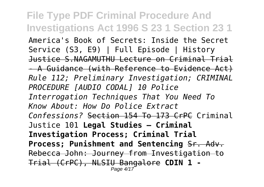**File Type PDF Criminal Procedure And Investigations Act 1996 S 23 1 Section 23 1** America's Book of Secrets: Inside the Secret Service (S3, E9) | Full Episode | History Justice S.NAGAMUTHU Lecture on Criminal Trial - A Guidance (with Reference to Evidence Act) *Rule 112; Preliminary Investigation; CRIMINAL PROCEDURE [AUDIO CODAL] 10 Police Interrogation Techniques That You Need To Know About: How Do Police Extract Confessions?* Section 154 To 173 CrPC Criminal Justice 101 **Legal Studies – Criminal Investigation Process; Criminal Trial Process; Punishment and Sentencing** Sr. Adv. Rebecca John: Journey from Investigation to Trial (CrPC), NLSIU Bangalore **CDIN 1 -** Page 4/17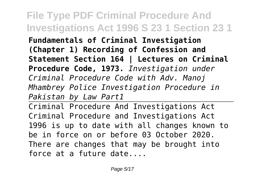**Fundamentals of Criminal Investigation (Chapter 1) Recording of Confession and Statement Section 164 | Lectures on Criminal Procedure Code, 1973.** *Investigation under Criminal Procedure Code with Adv. Manoj Mhambrey Police Investigation Procedure in Pakistan by Law Part1*

Criminal Procedure And Investigations Act Criminal Procedure and Investigations Act 1996 is up to date with all changes known to be in force on or before 03 October 2020. There are changes that may be brought into force at a future date....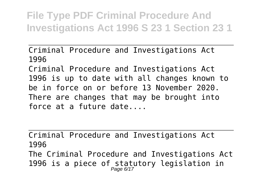Criminal Procedure and Investigations Act 1996

Criminal Procedure and Investigations Act 1996 is up to date with all changes known to be in force on or before 13 November 2020. There are changes that may be brought into force at a future date....

Criminal Procedure and Investigations Act 1996

The Criminal Procedure and Investigations Act 1996 is a piece of statutory legislation in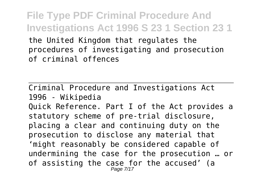**File Type PDF Criminal Procedure And Investigations Act 1996 S 23 1 Section 23 1** the United Kingdom that regulates the procedures of investigating and prosecution of criminal offences

Criminal Procedure and Investigations Act 1996 - Wikipedia Quick Reference. Part I of the Act provides a statutory scheme of pre‐trial disclosure, placing a clear and continuing duty on the prosecution to disclose any material that 'might reasonably be considered capable of undermining the case for the prosecution … or of assisting the case for the accused' (a Page 7/17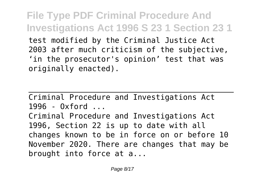**File Type PDF Criminal Procedure And Investigations Act 1996 S 23 1 Section 23 1** test modified by the Criminal Justice Act 2003 after much criticism of the subjective, 'in the prosecutor's opinion' test that was originally enacted).

Criminal Procedure and Investigations Act 1996 - Oxford ... Criminal Procedure and Investigations Act 1996, Section 22 is up to date with all changes known to be in force on or before 10 November 2020. There are changes that may be brought into force at a...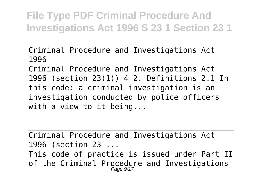Criminal Procedure and Investigations Act 1996

Criminal Procedure and Investigations Act 1996 (section 23(1)) 4 2. Definitions 2.1 In this code: a criminal investigation is an investigation conducted by police officers with a view to it being...

Criminal Procedure and Investigations Act 1996 (section 23 ... This code of practice is issued under Part II of the Criminal Procedure and Investigations<br>Page 9/17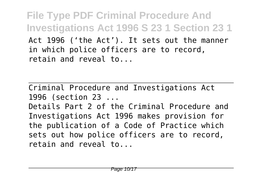**File Type PDF Criminal Procedure And Investigations Act 1996 S 23 1 Section 23 1** Act 1996 ('the Act'). It sets out the manner in which police officers are to record, retain and reveal to...

Criminal Procedure and Investigations Act 1996 (section 23 ...

Details Part 2 of the Criminal Procedure and Investigations Act 1996 makes provision for the publication of a Code of Practice which sets out how police officers are to record, retain and reveal to...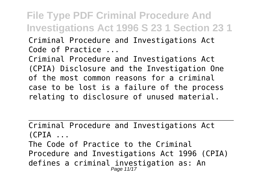### **File Type PDF Criminal Procedure And Investigations Act 1996 S 23 1 Section 23 1** Criminal Procedure and Investigations Act

Code of Practice ...

Criminal Procedure and Investigations Act (CPIA) Disclosure and the Investigation One of the most common reasons for a criminal case to be lost is a failure of the process relating to disclosure of unused material.

Criminal Procedure and Investigations Act  $(CPIA$   $\ldots$ The Code of Practice to the Criminal Procedure and Investigations Act 1996 (CPIA) defines a criminal investigation as: An Page 11/17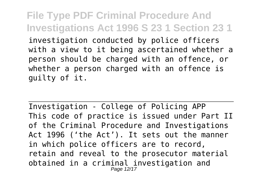**File Type PDF Criminal Procedure And Investigations Act 1996 S 23 1 Section 23 1** investigation conducted by police officers with a view to it being ascertained whether a person should be charged with an offence, or whether a person charged with an offence is guilty of it.

Investigation - College of Policing APP This code of practice is issued under Part II of the Criminal Procedure and Investigations Act 1996 ('the Act'). It sets out the manner in which police officers are to record, retain and reveal to the prosecutor material obtained in a criminal investigation and Page 12/17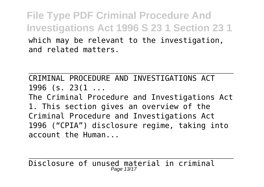**File Type PDF Criminal Procedure And Investigations Act 1996 S 23 1 Section 23 1** which may be relevant to the investigation, and related matters.

CRIMINAL PROCEDURE AND INVESTIGATIONS ACT 1996 (s. 23(1 ...

The Criminal Procedure and Investigations Act 1. This section gives an overview of the Criminal Procedure and Investigations Act 1996 ("CPIA") disclosure regime, taking into account the Human...

Disclosure of unused material in criminal Page 13/17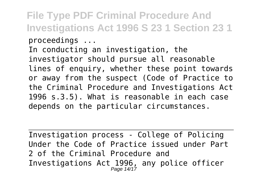In conducting an investigation, the investigator should pursue all reasonable lines of enquiry, whether these point towards or away from the suspect (Code of Practice to the Criminal Procedure and Investigations Act 1996 s.3.5). What is reasonable in each case depends on the particular circumstances.

Investigation process - College of Policing Under the Code of Practice issued under Part 2 of the Criminal Procedure and Investigations Act 1996, any police officer Page 14/17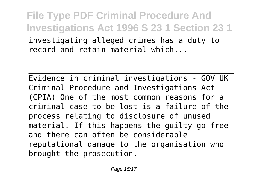**File Type PDF Criminal Procedure And Investigations Act 1996 S 23 1 Section 23 1** investigating alleged crimes has a duty to record and retain material which...

Evidence in criminal investigations - GOV UK Criminal Procedure and Investigations Act (CPIA) One of the most common reasons for a criminal case to be lost is a failure of the process relating to disclosure of unused material. If this happens the guilty go free and there can often be considerable reputational damage to the organisation who brought the prosecution.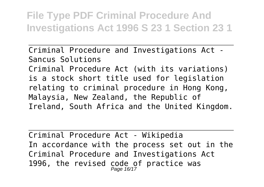Criminal Procedure and Investigations Act - Sancus Solutions Criminal Procedure Act (with its variations) is a stock short title used for legislation relating to criminal procedure in Hong Kong, Malaysia, New Zealand, the Republic of Ireland, South Africa and the United Kingdom.

Criminal Procedure Act - Wikipedia In accordance with the process set out in the Criminal Procedure and Investigations Act 1996, the revised code of practice was<br> $P_{\text{age 16/17}}$